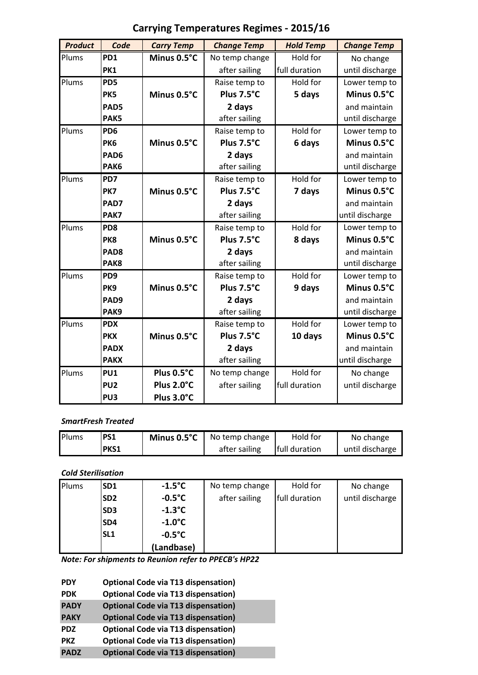| <b>Product</b> | Code             | <b>Carry Temp</b> | <b>Change Temp</b> | <b>Hold Temp</b> | <b>Change Temp</b> |
|----------------|------------------|-------------------|--------------------|------------------|--------------------|
| Plums          | PD <sub>1</sub>  | Minus 0.5°C       | No temp change     | Hold for         | No change          |
|                | PK1              |                   | after sailing      | full duration    | until discharge    |
| Plums          | PD5              |                   | Raise temp to      | Hold for         | Lower temp to      |
|                | PK5              | Minus 0.5°C       | Plus 7.5°C         | 5 days           | Minus 0.5°C        |
|                | PAD5             |                   | 2 days             |                  | and maintain       |
|                | PAK5             |                   | after sailing      |                  | until discharge    |
| Plums          | PD <sub>6</sub>  |                   | Raise temp to      | Hold for         | Lower temp to      |
|                | PK <sub>6</sub>  | Minus 0.5°C       | Plus 7.5°C         | 6 days           | Minus 0.5°C        |
|                | PAD <sub>6</sub> |                   | 2 days             |                  | and maintain       |
|                | PAK6             |                   | after sailing      |                  | until discharge    |
| Plums          | PD7              |                   | Raise temp to      | Hold for         | Lower temp to      |
|                | PK7              | Minus 0.5°C       | Plus 7.5°C         | 7 days           | Minus 0.5°C        |
|                | PAD7             |                   | 2 days             |                  | and maintain       |
|                | PAK7             |                   | after sailing      |                  | until discharge    |
| Plums          | PD <sub>8</sub>  |                   | Raise temp to      | Hold for         | Lower temp to      |
|                | PK8              | Minus 0.5°C       | Plus 7.5°C         | 8 days           | Minus 0.5°C        |
|                | PAD <sub>8</sub> |                   | 2 days             |                  | and maintain       |
|                | PAK8             |                   | after sailing      |                  | until discharge    |
| Plums          | PD <sub>9</sub>  |                   | Raise temp to      | Hold for         | Lower temp to      |
|                | PK <sub>9</sub>  | Minus 0.5°C       | Plus 7.5°C         | 9 days           | Minus 0.5°C        |
|                | PAD9             |                   | 2 days             |                  | and maintain       |
|                | PAK9             |                   | after sailing      |                  | until discharge    |
| Plums          | <b>PDX</b>       |                   | Raise temp to      | Hold for         | Lower temp to      |
|                | <b>PKX</b>       | Minus 0.5°C       | Plus 7.5°C         | 10 days          | Minus 0.5°C        |
|                | <b>PADX</b>      |                   | 2 days             |                  | and maintain       |
|                | <b>PAKX</b>      |                   | after sailing      |                  | until discharge    |
| Plums          | PU1              | Plus 0.5°C        | No temp change     | Hold for         | No change          |
|                | PU <sub>2</sub>  | Plus 2.0°C        | after sailing      | full duration    | until discharge    |
|                | PU <sub>3</sub>  | Plus 3.0°C        |                    |                  |                    |

# **Carrying Temperatures Regimes - 2015/16**

#### *SmartFresh Treated*

| Plums | <b>PS1</b> | <b>Minus 0.5°C</b>   No temp change | Hold for      | No change       |
|-------|------------|-------------------------------------|---------------|-----------------|
|       | PKS1       | after sailing                       | full duration | until discharge |

### *Cold Sterilisation*

| Plums | <b>SD1</b>      | $-1.5^{\circ}$ C | No temp change | Hold for      | No change       |
|-------|-----------------|------------------|----------------|---------------|-----------------|
|       | SD <sub>2</sub> | $-0.5^{\circ}C$  | after sailing  | full duration | until discharge |
|       | <b>SD3</b>      | $-1.3$ °C        |                |               |                 |
|       | <b>SD4</b>      | $-1.0^{\circ}$ C |                |               |                 |
|       | <b>SL1</b>      | $-0.5^{\circ}C$  |                |               |                 |
|       |                 | (Landbase)       |                |               |                 |

*Note: For shipments to Reunion refer to PPECB's HP22*

| <b>PDY</b>  | <b>Optional Code via T13 dispensation)</b> |
|-------------|--------------------------------------------|
| <b>PDK</b>  | <b>Optional Code via T13 dispensation)</b> |
| <b>PADY</b> | <b>Optional Code via T13 dispensation)</b> |
| <b>PAKY</b> | <b>Optional Code via T13 dispensation)</b> |
| <b>PDZ</b>  | <b>Optional Code via T13 dispensation)</b> |
| <b>PKZ</b>  | <b>Optional Code via T13 dispensation)</b> |
| <b>PADZ</b> | <b>Optional Code via T13 dispensation)</b> |